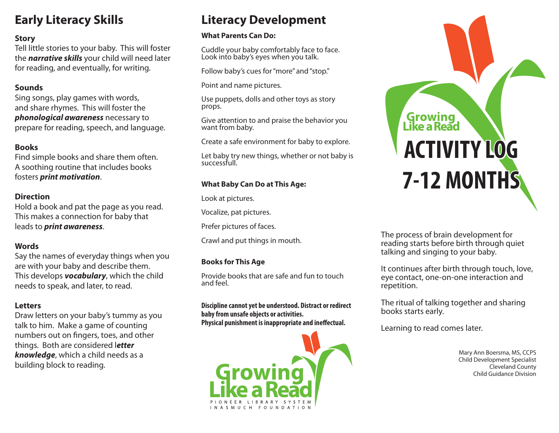# **Early Literacy Skills**

# **Story**

Tell little stories to your baby. This will foster the *narrative skills* your child will need later for reading, and eventually, for writing.

# **Sounds**

Sing songs, play games with words, and share rhymes. This will foster the *phonological awareness* necessary to prepare for reading, speech, and language.

# **Books**

Find simple books and share them often. A soothing routine that includes books fosters *print motivation*.

# **Direction**

Hold a book and pat the page as you read. This makes a connection for baby that leads to *print awareness*.

# **Words**

Say the names of everyday things when you are with your baby and describe them. This develops *vocabulary*, which the child needs to speak, and later, to read.

# **Letters**

Draw letters on your baby's tummy as you talk to him. Make a game of counting numbers out on fingers, toes, and other things. Both are considered l*etter knowledge*, which a child needs as a building block to reading.

# **Literacy Development**

### **What Parents Can Do:**

Cuddle your baby comfortably face to face. Look into baby's eyes when you talk.

Follow baby's cues for "more" and "stop."

Point and name pictures.

Use puppets, dolls and other toys as story props.

Give attention to and praise the behavior you want from baby.

Create a safe environment for baby to explore.

Let baby try new things, whether or not baby is successfull.

# **What Baby Can Do at This Age:**

Look at pictures.

Vocalize, pat pictures.

Prefer pictures of faces.

Crawl and put things in mouth.

# **Books for This Age**

Provide books that are safe and fun to touch and feel.

**Discipline cannot yet be understood. Distract or redirect baby from unsafe objects or activities. Physical punishment is inappropriate and ineffectual.** 



# Growing<br>Like a Read **ACTIVITY LOG 7-12 MONTHS**

The process of brain development for reading starts before birth through quiet talking and singing to your baby.

It continues after birth through touch, love, eye contact, one-on-one interaction and repetition.

The ritual of talking together and sharing books starts early.

Learning to read comes later.

 Mary Ann Boersma, MS, CCPS Child Development Specialist Cleveland County Child Guidance Division